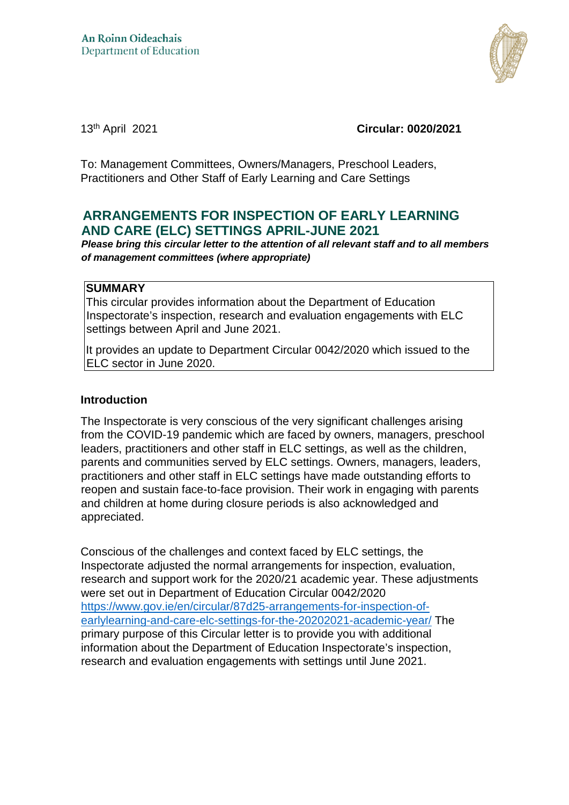

13th April 2021 **Circular: 0020/2021**

To: Management Committees, Owners/Managers, Preschool Leaders, Practitioners and Other Staff of Early Learning and Care Settings

# **ARRANGEMENTS FOR INSPECTION OF EARLY LEARNING AND CARE (ELC) SETTINGS APRIL-JUNE 2021**

*Please bring this circular letter to the attention of all relevant staff and to all members of management committees (where appropriate)* 

#### **SUMMARY**

This circular provides information about the Department of Education Inspectorate's inspection, research and evaluation engagements with ELC settings between April and June 2021.

It provides an update to Department Circular 0042/2020 which issued to the ELC sector in June 2020.

#### **Introduction**

The Inspectorate is very conscious of the very significant challenges arising from the COVID-19 pandemic which are faced by owners, managers, preschool leaders, practitioners and other staff in ELC settings, as well as the children, parents and communities served by ELC settings. Owners, managers, leaders, practitioners and other staff in ELC settings have made outstanding efforts to reopen and sustain face-to-face provision. Their work in engaging with parents and children at home during closure periods is also acknowledged and appreciated.

Conscious of the challenges and context faced by ELC settings, the Inspectorate adjusted the normal arrangements for inspection, evaluation, research and support work for the 2020/21 academic year. These adjustments were set out in Department of Education Circular 0042/2020 [https://www.gov.ie/en/circular/87d25-arrangements-for-inspection-of](https://www.gov.ie/en/circular/87d25-arrangements-for-inspection-of-early-learning-and-care-elc-settings-for-the-20202021-academic-year/)[earlylearning-and-care-elc-settings-for-the-20202021-academic-year/](https://www.gov.ie/en/circular/87d25-arrangements-for-inspection-of-early-learning-and-care-elc-settings-for-the-20202021-academic-year/) The primary purpose of this Circular letter is to provide you with additional information about the Department of Education Inspectorate's inspection, research and evaluation engagements with settings until June 2021.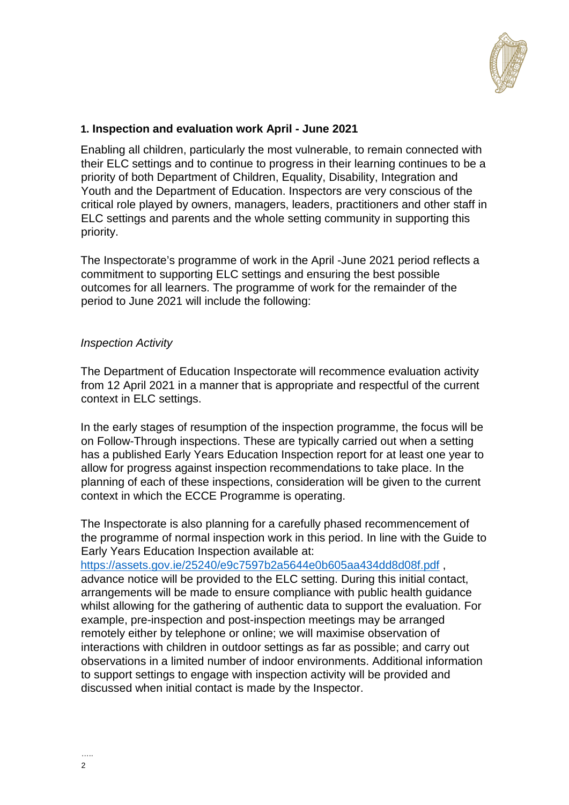

## **1. Inspection and evaluation work April - June 2021**

Enabling all children, particularly the most vulnerable, to remain connected with their ELC settings and to continue to progress in their learning continues to be a priority of both Department of Children, Equality, Disability, Integration and Youth and the Department of Education. Inspectors are very conscious of the critical role played by owners, managers, leaders, practitioners and other staff in ELC settings and parents and the whole setting community in supporting this priority.

The Inspectorate's programme of work in the April -June 2021 period reflects a commitment to supporting ELC settings and ensuring the best possible outcomes for all learners. The programme of work for the remainder of the period to June 2021 will include the following:

#### *Inspection Activity*

The Department of Education Inspectorate will recommence evaluation activity from 12 April 2021 in a manner that is appropriate and respectful of the current context in ELC settings.

In the early stages of resumption of the inspection programme, the focus will be on Follow-Through inspections. These are typically carried out when a setting has a published Early Years Education Inspection report for at least one year to allow for progress against inspection recommendations to take place. In the planning of each of these inspections, consideration will be given to the current context in which the ECCE Programme is operating.

The Inspectorate is also planning for a carefully phased recommencement of the programme of normal inspection work in this period. In line with the Guide to Early Years Education Inspection available at:

<https://assets.gov.ie/25240/e9c7597b2a5644e0b605aa434dd8d08f.pdf> [,](https://assets.gov.ie/25240/e9c7597b2a5644e0b605aa434dd8d08f.pdf) advance notice will be provided to the ELC setting. During this initial contact, arrangements will be made to ensure compliance with public health guidance whilst allowing for the gathering of authentic data to support the evaluation. For example, pre-inspection and post-inspection meetings may be arranged remotely either by telephone or online; we will maximise observation of interactions with children in outdoor settings as far as possible; and carry out observations in a limited number of indoor environments. Additional information to support settings to engage with inspection activity will be provided and discussed when initial contact is made by the Inspector.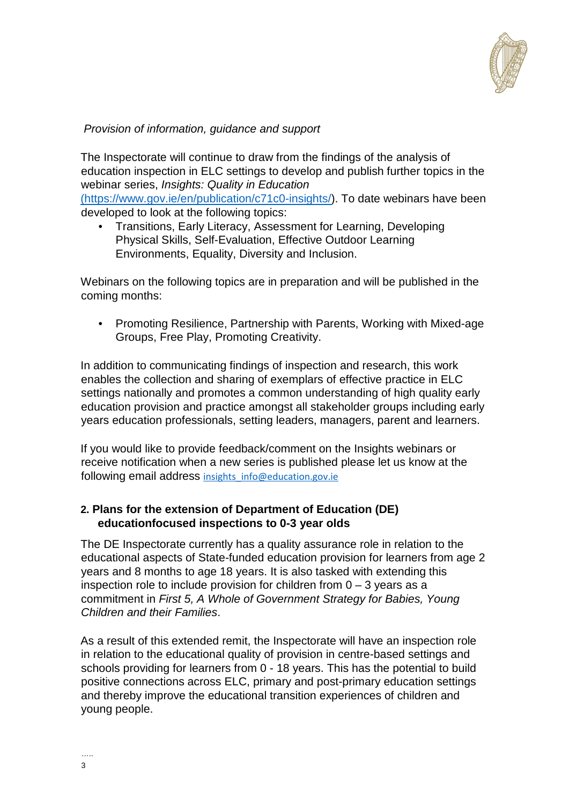

## *Provision of information, guidance and support*

The Inspectorate will continue to draw from the findings of the analysis of education inspection in ELC settings to develop and publish further topics in the webinar series, *Insights: Quality in Education*  [\(https://www.gov.ie/en/publication/c71c0-insights/\).](https://www.gov.ie/en/publication/c71c0-insights/) To date webinars have been

developed to look at the following topics:

• Transitions, Early Literacy, Assessment for Learning, Developing Physical Skills, Self-Evaluation, Effective Outdoor Learning Environments, Equality, Diversity and Inclusion.

Webinars on the following topics are in preparation and will be published in the coming months:

• Promoting Resilience, Partnership with Parents, Working with Mixed-age Groups, Free Play, Promoting Creativity.

In addition to communicating findings of inspection and research, this work enables the collection and sharing of exemplars of effective practice in ELC settings nationally and promotes a common understanding of high quality early education provision and practice amongst all stakeholder groups including early years education professionals, setting leaders, managers, parent and learners.

If you would like to provide feedback/comment on the Insights webinars or receive notification when a new series is published please let us know at the following email address insights info@education.gov.ie

### **2. Plans for the extension of Department of Education (DE) educationfocused inspections to 0-3 year olds**

The DE Inspectorate currently has a quality assurance role in relation to the educational aspects of State-funded education provision for learners from age 2 years and 8 months to age 18 years. It is also tasked with extending this inspection role to include provision for children from  $0 - 3$  years as a commitment in *First 5, A Whole of Government Strategy for Babies, Young Children and their Families*.

As a result of this extended remit, the Inspectorate will have an inspection role in relation to the educational quality of provision in centre-based settings and schools providing for learners from 0 - 18 years. This has the potential to build positive connections across ELC, primary and post-primary education settings and thereby improve the educational transition experiences of children and young people.